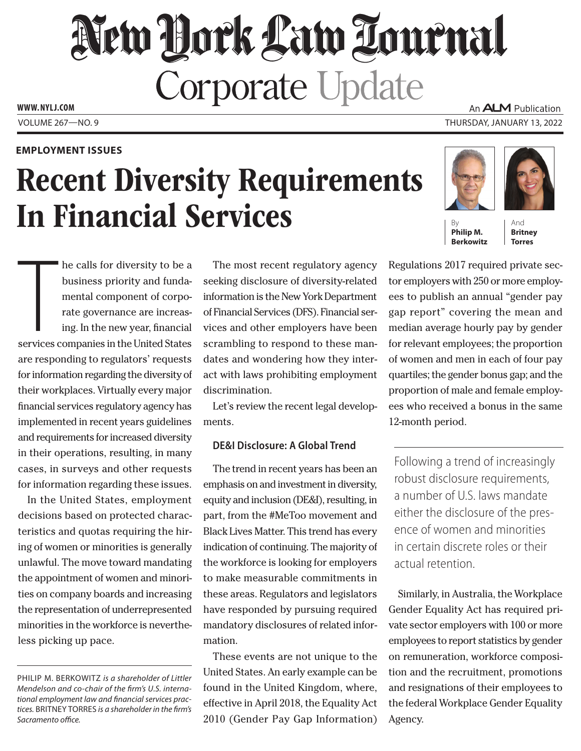# New Hork Law Lournal **Corporate Update** An **ALM** Publication

**WWW. NYLJ.COM**

### **EMPLOYMENT ISSUES**

# Recent Diversity Requirements In Financial Services

VOLUME 267—NO. 9 THURSDAY, JANUARY 13, 2022



By **Philip M. Berkowitz**

And **Britney Torres**

The calls for diversity to be a<br>business priority and funda-<br>mental component of corpo-<br>rate governance are increas-<br>ing. In the new year, financial<br>services companies in the United States he calls for diversity to be a business priority and fundamental component of corporate governance are increasing. In the new year, financial are responding to regulators' requests for information regarding the diversity of their workplaces. Virtually every major financial services regulatory agency has implemented in recent years guidelines and requirements for increased diversity in their operations, resulting, in many cases, in surveys and other requests for information regarding these issues.

In the United States, employment decisions based on protected characteristics and quotas requiring the hiring of women or minorities is generally unlawful. The move toward mandating the appointment of women and minorities on company boards and increasing the representation of underrepresented minorities in the workforce is nevertheless picking up pace.

The most recent regulatory agency seeking disclosure of diversity-related information is the New York Department of Financial Services (DFS). Financial services and other employers have been scrambling to respond to these mandates and wondering how they interact with laws prohibiting employment discrimination.

Let's review the recent legal developments.

## **DE&I Disclosure: A Global Trend**

The trend in recent years has been an emphasis on and investment in diversity, equity and inclusion (DE&I), resulting, in part, from the #MeToo movement and Black Lives Matter. This trend has every indication of continuing. The majority of the workforce is looking for employers to make measurable commitments in these areas. Regulators and legislators have responded by pursuing required mandatory disclosures of related information.

These events are not unique to the United States. An early example can be found in the United Kingdom, where, effective in April 2018, the Equality Act 2010 (Gender Pay Gap Information)

Regulations 2017 required private sector employers with 250 or more employees to publish an annual "gender pay gap report" covering the mean and median average hourly pay by gender for relevant employees; the proportion of women and men in each of four pay quartiles; the gender bonus gap; and the proportion of male and female employees who received a bonus in the same 12-month period.

Following a trend of increasingly robust disclosure requirements, a number of U.S. laws mandate either the disclosure of the presence of women and minorities in certain discrete roles or their actual retention.

Similarly, in Australia, the Workplace Gender Equality Act has required private sector employers with 100 or more employees to report statistics by gender on remuneration, workforce composition and the recruitment, promotions and resignations of their employees to the federal Workplace Gender Equality Agency.

PHILIP M. BERKOWITZ *is a shareholder of Littler Mendelson and co-chair of the firm's U.S. international employment law and financial services practices.* BRITNEY TORRES *is a shareholder in the firm's Sacramento office.*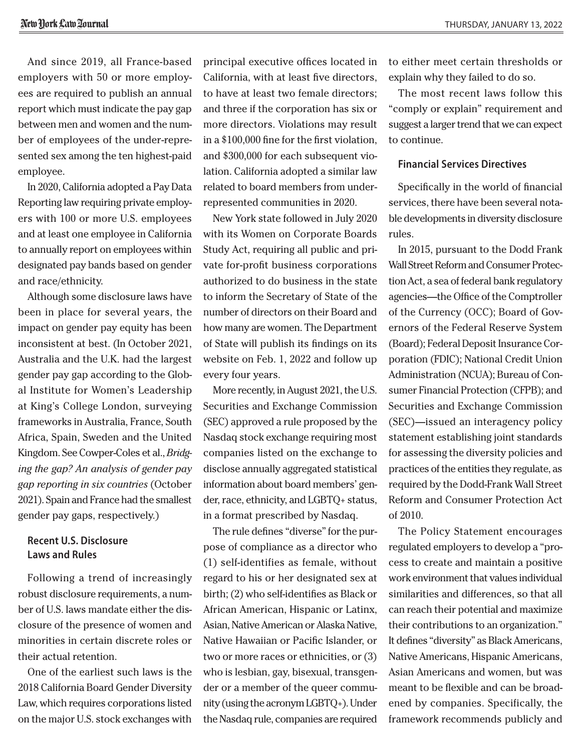And since 2019, all France-based employers with 50 or more employees are required to publish an annual report which must indicate the pay gap between men and women and the number of employees of the under-represented sex among the ten highest-paid employee.

In 2020, California adopted a Pay Data Reporting law requiring private employers with 100 or more U.S. employees and at least one employee in California to annually report on employees within designated pay bands based on gender and race/ethnicity.

Although some disclosure laws have been in place for several years, the impact on gender pay equity has been inconsistent at best. (In October 2021, Australia and the U.K. had the largest gender pay gap according to the Global Institute for Women's Leadership at King's College London, surveying frameworks in Australia, France, South Africa, Spain, Sweden and the United Kingdom. See Cowper-Coles et al., *Bridging the gap? An analysis of gender pay gap reporting in six countries* (October 2021). Spain and France had the smallest gender pay gaps, respectively.)

# **Recent U.S. Disclosure Laws and Rules**

Following a trend of increasingly robust disclosure requirements, a number of U.S. laws mandate either the disclosure of the presence of women and minorities in certain discrete roles or their actual retention.

One of the earliest such laws is the 2018 California Board Gender Diversity Law, which requires corporations listed on the major U.S. stock exchanges with principal executive offices located in California, with at least five directors, to have at least two female directors; and three if the corporation has six or more directors. Violations may result in a \$100,000 fine for the first violation, and \$300,000 for each subsequent violation. California adopted a similar law related to board members from underrepresented communities in 2020.

New York state followed in July 2020 with its Women on Corporate Boards Study Act, requiring all public and private for-profit business corporations authorized to do business in the state to inform the Secretary of State of the number of directors on their Board and how many are women. The Department of State will publish its findings on its website on Feb. 1, 2022 and follow up every four years.

More recently, in August 2021, the U.S. Securities and Exchange Commission (SEC) approved a rule proposed by the Nasdaq stock exchange requiring most companies listed on the exchange to disclose annually aggregated statistical information about board members' gender, race, ethnicity, and LGBTQ+ status, in a format prescribed by Nasdaq.

The rule defines "diverse" for the purpose of compliance as a director who (1) self-identifies as female, without regard to his or her designated sex at birth; (2) who self-identifies as Black or African American, Hispanic or Latinx, Asian, Native American or Alaska Native, Native Hawaiian or Pacific Islander, or two or more races or ethnicities, or (3) who is lesbian, gay, bisexual, transgender or a member of the queer community (using the acronym LGBTQ+). Under the Nasdaq rule, companies are required

to either meet certain thresholds or explain why they failed to do so.

The most recent laws follow this "comply or explain" requirement and suggest a larger trend that we can expect to continue.

#### **Financial Services Directives**

Specifically in the world of financial services, there have been several notable developments in diversity disclosure rules.

In 2015, pursuant to the Dodd Frank Wall Street Reform and Consumer Protection Act, a sea of federal bank regulatory agencies—the Office of the Comptroller of the Currency (OCC); Board of Governors of the Federal Reserve System (Board); Federal Deposit Insurance Corporation (FDIC); National Credit Union Administration (NCUA); Bureau of Consumer Financial Protection (CFPB); and Securities and Exchange Commission (SEC)—issued an interagency policy statement establishing joint standards for assessing the diversity policies and practices of the entities they regulate, as required by the Dodd-Frank Wall Street Reform and Consumer Protection Act of 2010.

The Policy Statement encourages regulated employers to develop a "process to create and maintain a positive work environment that values individual similarities and differences, so that all can reach their potential and maximize their contributions to an organization." It defines "diversity" as Black Americans, Native Americans, Hispanic Americans, Asian Americans and women, but was meant to be flexible and can be broadened by companies. Specifically, the framework recommends publicly and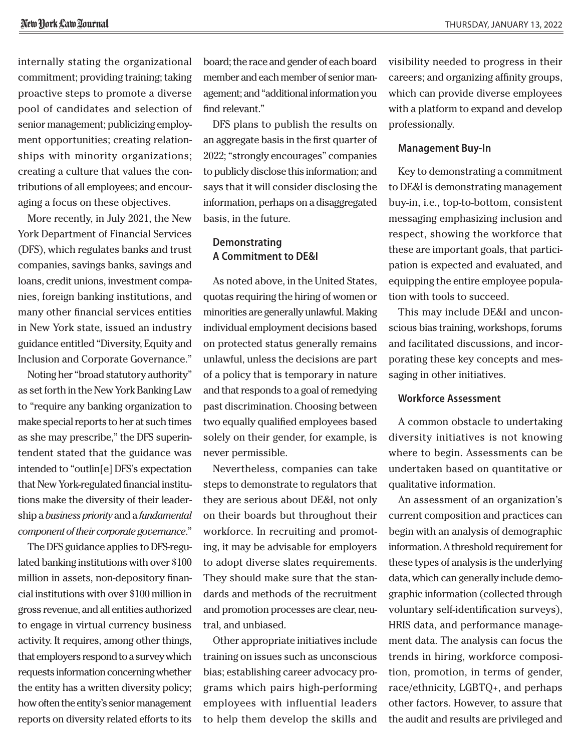internally stating the organizational commitment; providing training; taking proactive steps to promote a diverse pool of candidates and selection of senior management; publicizing employment opportunities; creating relationships with minority organizations; creating a culture that values the contributions of all employees; and encouraging a focus on these objectives.

More recently, in July 2021, the New York Department of Financial Services (DFS), which regulates banks and trust companies, savings banks, savings and loans, credit unions, investment companies, foreign banking institutions, and many other financial services entities in New York state, issued an industry guidance entitled "Diversity, Equity and Inclusion and Corporate Governance."

Noting her "broad statutory authority" as set forth in the New York Banking Law to "require any banking organization to make special reports to her at such times as she may prescribe," the DFS superintendent stated that the guidance was intended to "outlin[e] DFS's expectation that New York-regulated financial institutions make the diversity of their leadership a *business priority* and a *fundamental component of their corporate governance*."

The DFS guidance applies to DFS-regulated banking institutions with over \$100 million in assets, non-depository financial institutions with over \$100 million in gross revenue, and all entities authorized to engage in virtual currency business activity. It requires, among other things, that employers respond to a survey which requests information concerning whether the entity has a written diversity policy; how often the entity's senior management reports on diversity related efforts to its board; the race and gender of each board member and each member of senior management; and "additional information you find relevant."

DFS plans to publish the results on an aggregate basis in the first quarter of 2022; "strongly encourages" companies to publicly disclose this information; and says that it will consider disclosing the information, perhaps on a disaggregated basis, in the future.

# **Demonstrating A Commitment to DE&I**

As noted above, in the United States, quotas requiring the hiring of women or minorities are generally unlawful. Making individual employment decisions based on protected status generally remains unlawful, unless the decisions are part of a policy that is temporary in nature and that responds to a goal of remedying past discrimination. Choosing between two equally qualified employees based solely on their gender, for example, is never permissible.

Nevertheless, companies can take steps to demonstrate to regulators that they are serious about DE&I, not only on their boards but throughout their workforce. In recruiting and promoting, it may be advisable for employers to adopt diverse slates requirements. They should make sure that the standards and methods of the recruitment and promotion processes are clear, neutral, and unbiased.

Other appropriate initiatives include training on issues such as unconscious bias; establishing career advocacy programs which pairs high-performing employees with influential leaders to help them develop the skills and

visibility needed to progress in their careers; and organizing affinity groups, which can provide diverse employees with a platform to expand and develop professionally.

#### **Management Buy-In**

Key to demonstrating a commitment to DE&I is demonstrating management buy-in, i.e., top-to-bottom, consistent messaging emphasizing inclusion and respect, showing the workforce that these are important goals, that participation is expected and evaluated, and equipping the entire employee population with tools to succeed.

This may include DE&I and unconscious bias training, workshops, forums and facilitated discussions, and incorporating these key concepts and messaging in other initiatives.

#### **Workforce Assessment**

A common obstacle to undertaking diversity initiatives is not knowing where to begin. Assessments can be undertaken based on quantitative or qualitative information.

An assessment of an organization's current composition and practices can begin with an analysis of demographic information. A threshold requirement for these types of analysis is the underlying data, which can generally include demographic information (collected through voluntary self-identification surveys), HRIS data, and performance management data. The analysis can focus the trends in hiring, workforce composition, promotion, in terms of gender, race/ethnicity, LGBTQ+, and perhaps other factors. However, to assure that the audit and results are privileged and